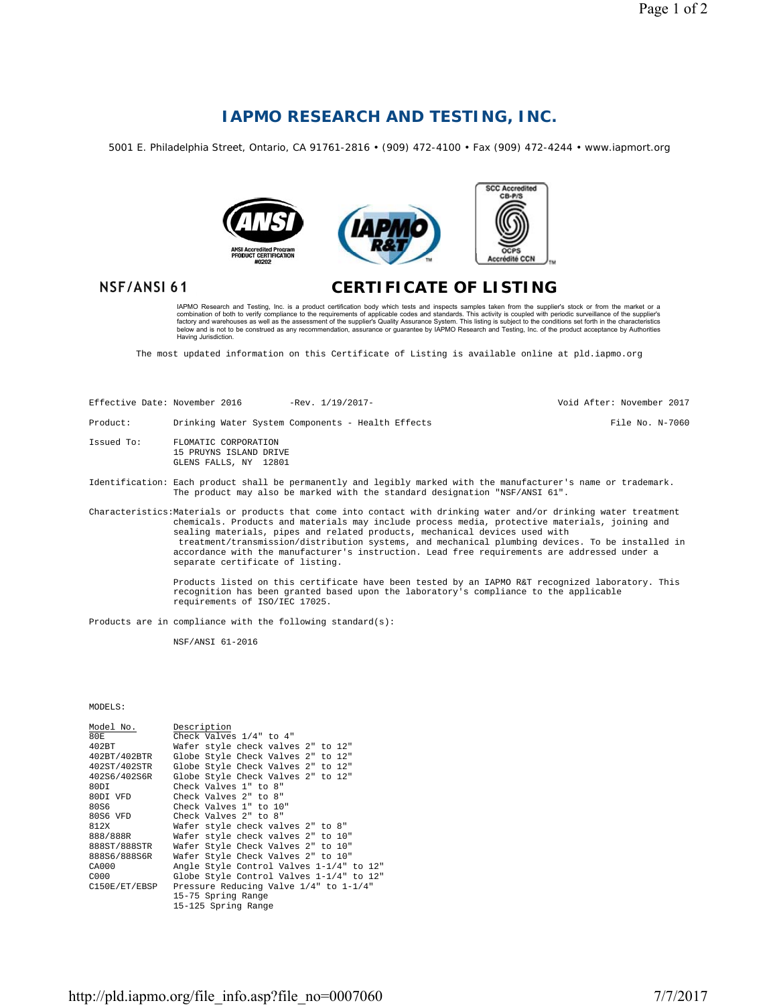## **IAPMO RESEARCH AND TESTING, INC.**

5001 E. Philadelphia Street, Ontario, CA 91761-2816 • (909) 472-4100 • Fax (909) 472-4244 • www.iapmort.org



## NSF/ANSI 61

## **CERTIFICATE OF LISTING**

IAPMO Research and Testing, Inc. is a product certification body which tests and inspects samples taken from the supplier's stock or from the market or a<br>combination of both to verify compliance to the requirements of appl

The most updated information on this Certificate of Listing is available online at pld.iapmo.org

| Effective Date: November 2016 |                                                                                                                                                                                                | $-$ Rev. $1/19/2017-$                                                                                                                                                                                                                                                                                                                                                                                                                                                                                 | Void After: November 2017 |
|-------------------------------|------------------------------------------------------------------------------------------------------------------------------------------------------------------------------------------------|-------------------------------------------------------------------------------------------------------------------------------------------------------------------------------------------------------------------------------------------------------------------------------------------------------------------------------------------------------------------------------------------------------------------------------------------------------------------------------------------------------|---------------------------|
| Product:                      |                                                                                                                                                                                                | Drinking Water System Components - Health Effects                                                                                                                                                                                                                                                                                                                                                                                                                                                     | File No. N-7060           |
| Issued To:                    | FLOMATIC CORPORATION<br>15 PRUYNS ISLAND DRIVE<br>GLENS FALLS, NY 12801                                                                                                                        |                                                                                                                                                                                                                                                                                                                                                                                                                                                                                                       |                           |
|                               | Identification: Each product shall be permanently and legibly marked with the manufacturer's name or trademark.<br>The product may also be marked with the standard designation "NSF/ANSI 61". |                                                                                                                                                                                                                                                                                                                                                                                                                                                                                                       |                           |
|                               |                                                                                                                                                                                                | Characteristics:Materials or products that come into contact with drinking water and/or drinking water treatment<br>chemicals. Products and materials may include process media, protective materials, joining and<br>sealing materials, pipes and related products, mechanical devices used with<br>treatment/transmission/distribution systems, and mechanical plumbing devices. To be installed in<br>accordance with the manufacturer's instruction. Lead free requirements are addressed under a |                           |

Products listed on this certificate have been tested by an IAPMO R&T recognized laboratory. This recognition has been granted based upon the laboratory's compliance to the applicable requirements of ISO/IEC 17025.

Products are in compliance with the following standard(s):

separate certificate of listing.

NSF/ANSI 61-2016

MODELS:

| Model No.     | Description                              |
|---------------|------------------------------------------|
| 80E           | Check Valves 1/4" to 4"                  |
| 402BT         | Wafer style check valves 2" to 12"       |
| 402BT/402BTR  | Globe Style Check Valves 2" to 12"       |
| 402ST/402STR  | Globe Style Check Valves 2" to 12"       |
| 402S6/402S6R  | Globe Style Check Valves 2" to 12"       |
| 80DT          | Check Valves 1" to 8"                    |
| 80DI VFD      | Check Valves 2" to 8"                    |
| 80.S6         | Check Valves 1" to 10"                   |
| 80S6 VFD      | Check Valves 2" to 8"                    |
| 812X          | Wafer style check valves 2" to 8"        |
| 888/888R      | Wafer style check valves 2" to 10"       |
| 888ST/888STR  | Wafer Style Check Valves 2" to 10"       |
| 888S6/888S6R  | Wafer Style Check Valves 2" to 10"       |
| CA000         | Angle Style Control Valves 1-1/4" to 12" |
| 0.000         | Globe Style Control Valves 1-1/4" to 12" |
| C150E/ET/EBSP | Pressure Reducing Valve 1/4" to 1-1/4"   |
|               | 15-75 Spring Range                       |
|               | 15-125 Spring Range                      |